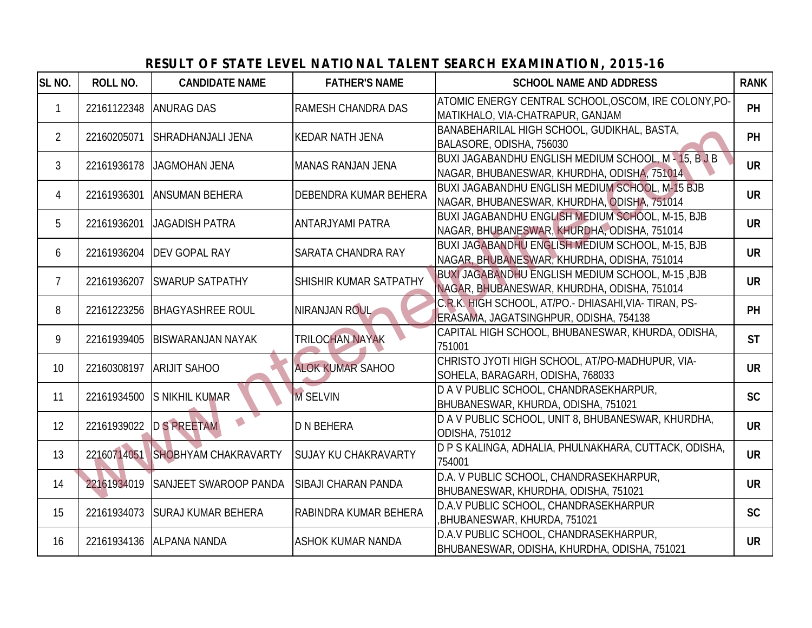## **SL NO. ROLL NO. CANDIDATE NAME FATHER'S NAME SCHOOL NAME AND ADDRESS RANK** 1 22161122348 ANURAG DAS RAMESH CHANDRA DAS ATOMIC ENERGY CENTRAL SCHOOL,OSCOM, IRE COLONY, PO-MATIKHALO, VIA-CHATRAPUR, GANJAM 2 22160205071 SHRADHANJALI JENA KEDAR NATH JENA BANABEHARILAL HIGH SCHOOL, GUDIKHAL, BASTA, BALASORE, ODISHA, 756030 3 22161936178 JAGMOHAN JENA MANAS RANJAN JENA BUXI JAGABANDHU ENGLISH MEDIUM SCHOOL, M - 15, B J B NAGAR, BHUBANESWAR, KHURDHA, ODISHA, 751014 **UR** 4 22161936301 ANSUMAN BEHERA DEBENDRA KUMAR BEHERA BUXI JAGABANDHU ENGLISH MEDIUM SCHOOL, M-15 BJB NAGAR, BHUBANESWAR, KHURDHA, ODISHA, 751014 **UR** 5 22161936201 JAGADISH PATRA ANTARJYAMI PATRA BUXI JAGABANDHU ENGLISH MEDIUM SCHOOL, M-15, BJB NAGAR, BHUBANESWAR, KHURDHA, ODISHA, 751014 **UR** <sup>6</sup> <sup>22161936204</sup> DEV GOPAL RAY SARATA CHANDRA RAY BUXI JAGABANDHU ENGLISH MEDIUM SCHOOL, M-15, BJB NAGAR, BHUBANESWAR, KHURDHA, ODISHA, 751014 **UR** 7 22161936207 SWARUP SATPATHY SHISHIR KUMAR SATPATHY BUXI JAGABANDHU ENGLISH MEDIUM SCHOOL, M-15 ,BJB NAGAR, BHUBANESWAR, KHURDHA, ODISHA, 751014 **UR** 8 22161223256 BHAGYASHREE ROUL NIRANJAN ROUL C.R.K. HIGH SCHOOL, AT/PO.- DHIASAHI,VIA- TIRAN, PS-ERASAMA, JAGATSINGHPUR, ODISHA, 754138 **PH** 9 22161939405 BISWARANJAN NAYAK TRILOCHAN NAYAK CAPITAL HIGH SCHOOL, BHUBANESWAR, KHURDA, ODISHA, **ST** 751001 **ST** 81001 **ST** 81001 **ST** 810 **ST** 10 22160308197 ARIJIT SAHOO ALOK KUMAR SAHOO CHRISTO JYOTI HIGH SCHOOL, AT/PO-MADHUPUR, VIA-SOHELA, BARAGARH, ODISHA, 768033 **UR** 11 22161934500 S NIKHIL KUMAR M SELVIN DA V PUBLIC SCHOOL, CHANDRASEKHARPUR, BHUBANESWAR, KHURDA, ODISHA, 751021 **SC** 12 22161939022 D S PREETAM D N BEHERA D A V PUBLIC SCHOOL, UNIT 8, BHUBANESWAR, KHURDHA, ODISHA, 751012 <sup>13</sup> <sup>22160714051</sup> SHOBHYAM CHAKRAVARTY SUJAY KU CHAKRAVARTY D P S KALINGA, ADHALIA, PHULNAKHARA, CUTTACK, ODISHA, <sup>754001</sup> **UR** 14 22161934019 SANJEET SWAROOP PANDA SIBAJI CHARAN PANDA D.A. V PUBLIC SCHOOL, CHANDRASEKHARPUR, BHUBANESWAR, KHURDHA, ODISHA, 751021 **UR** 15 22161934073 SURAJ KUMAR BEHERA RABINDRA KUMAR BEHERA D.A.V PUBLIC SCHOOL, CHANDRASEKHARPUR ,BHUBANESWAR, KHURDA, 751021 **SC** 16 22161934136 ALPANA NANDA ASHOK KUMAR NANDA D.A.V PUBLIC SCHOOL, CHANDRASEKHARPUR, BHUBANESWAR, ODISHA, KHURDHA, ODISHA, 751021 **UR** 2216026071 SHRADHAN MLI JENA KEDAR NATH JENA BANASTRATIA (HISTORICS CHOOL, GUINER, 1983 PR. 22161936301 AGADISHAN JENA MANAS RANJAM JENA BULA ASOER ODISHA, 756030<br>22161936301 ANSUMAN JENA MANAS RANJAM JENA BULA JAGORANINI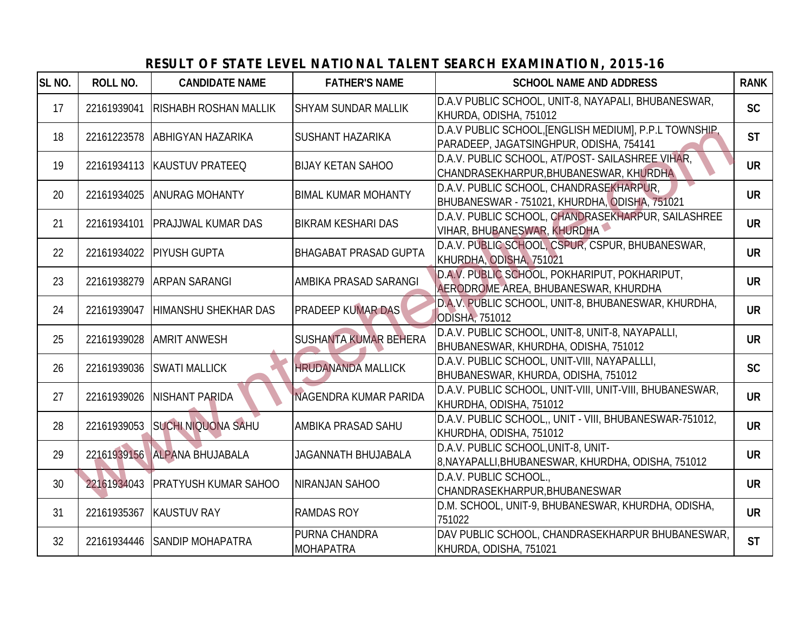#### **SL NO. ROLL NO. CANDIDATE NAME FATHER'S NAME SCHOOL NAME AND ADDRESS RANK** 17 22161939041 RISHABH ROSHAN MALLIK SHYAM SUNDAR MALLIK D.A.V PUBLIC SCHOOL, UNIT-8, NAYAPALI, BHUBANESWAR, KHURDA, ODISHA, 751012 **SC** 18 22161223578 ABHIGYAN HAZARIKA SUSHANT HAZARIKA DA.V PUBLIC SCHOOL,[ENGLISH MEDIUM], P.P.L TOWNSHIP, **PARADEEP, JAGATSINGHPUR, ODISHA, 754141 ST** 19 22161934113 KAUSTUV PRATEEQ BIJAY KETAN SAHOO D.A.V. PUBLIC SCHOOL, AT/POST- SAILASHREE VIHAR, CHANDRASEKHARPUR,BHUBANESWAR, KHURDHA **UR** 20 22161934025 ANURAG MOHANTY BIMAL KUMAR MOHANTY D.A.V. PUBLIC SCHOOL, CHANDRASEKHARPUR, BHUBANESWAR - 751021, KHURDHA, ODISHA, 751021 **UR** 21 22161934101 PRAJJWAL KUMAR DAS BIKRAM KESHARI DAS D.A.V. PUBLIC SCHOOL, CHANDRASEKHARPUR, SAILASHREE VIHAR, BHUBANESWAR, KHURDHA **UR** 22 22161934022 PIYUSH GUPTA BHAGABAT PRASAD GUPTA D.A.V. PUBLIC SCHOOL, CSPUR, CSPUR, BHUBANESWAR, KHURDHA, ODISHA, 751021 **UR** 23 22161938279 ARPAN SARANGI AMBIKA PRASAD SARANGI D.A.V. PUBLIC SCHOOL, POKHARIPUT, POKHARIPUT, AERODROME AREA, BHUBANESWAR, KHURDHA **UR** 24 22161939047 HIMANSHU SHEKHAR DAS PRADEEP KUMAR DAS D.A.V. PUBLIC SCHOOL, UNIT-8, BHUBANESWAR, KHURDHA, ODISHA, 751012 25 22161939028 AMRIT ANWESH SUSHANTA KUMAR BEHERA D.A.V. PUBLIC SCHOOL, UNIT-8, UNIT-8, NAYAPALLI, BHUBANESWAR, KHURDHA, ODISHA, 751012 **UR** 26 22161939036 SWATI MALLICK HRUDANANDA MALLICK D.A.V. PUBLIC SCHOOL, UNIT-VIII, NAYAPALLLI, BHUBANESWAR, KHURDA, ODISHA, 751012 **SC** 27 22161939026 NISHANT PARIDA NAGENDRA KUMAR PARIDA D.A.V. PUBLIC SCHOOL, UNIT-VIII, UNIT-VIII, BHUBANESWAR, KHURDHA, ODISHA, 751012 **UR** 28 22161939053 SUCHI NIQUONA SAHU AMBIKA PRASAD SAHU D.A.V. PUBLIC SCHOOL,, UNIT - VIII, BHUBANESWAR-751012, **EXAMPLE SUBDIVIDUAL**, ONIT - VIII, BROBANESWAR-751012,<br>KHURDHA, ODISHA, 751012 29 22161939156 ALPANA BHUJABALA JAGANNATH BHUJABALA D.A.V. PUBLIC SCHOOL,UNIT-8, UNIT-8,NAYAPALLI,BHUBANESWAR, KHURDHA, ODISHA, 751012 **UR** 30 22161934043 PRATYUSH KUMAR SAHOO NIRANJAN SAHOO D.A.V. PUBLIC SCHOOL. CHANDRASEKHARPUR,BHUBANESWAR **UR** 31 22161935367 KAUSTUV RAY RAMDAS ROY D.M. SCHOOL, UNIT-9, BHUBANESWAR, KHURDHA, ODISHA, **UR**<br>751022 **UR** 32 22161934446 SANDIP MOHAPATRA PURNA CHANDRA MOHAPATRA DAV PUBLIC SCHOOL, CHANDRASEKHARPUR BHUBANESWAR, KHURDA, ODISHA, 751021 2216193879 ABHOYAN HAZARIKA SUSHANT HAZARIKA BAX PARADER MACHINIC SCHOOL INITIALIAN THE UNITSER (WAS THE SULTIMATED VIDEO CHANGER AND CHANGER AND CHANGER AND CHANGER AND CHANGER AND CHANGER AND CHANGER AND CHANGER AND CHA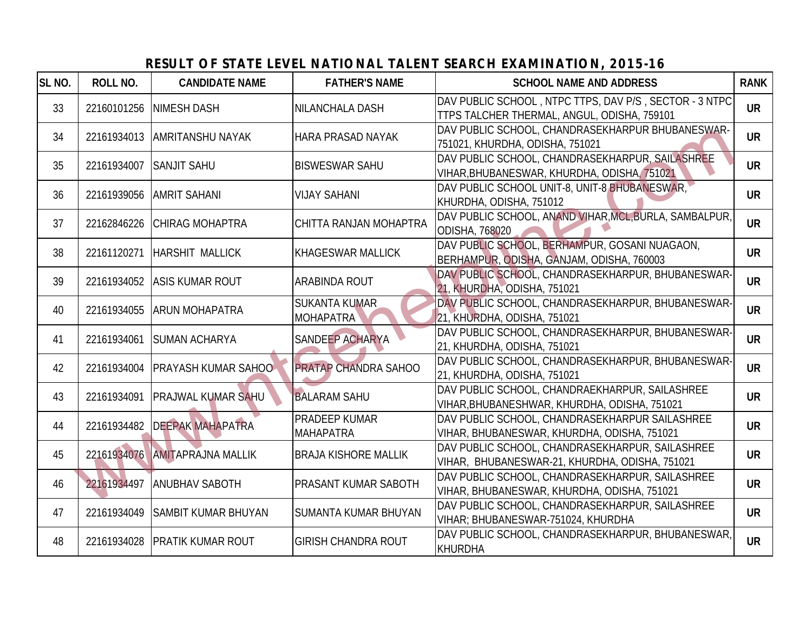#### **SL NO. ROLL NO. CANDIDATE NAME FATHER'S NAME SCHOOL NAME AND ADDRESS RANK** 33 22160101256 NIMESH DASH NILANCHALA DASH DAV PUBLIC SCHOOL , NTPC TTPS, DAV P/S , SECTOR - 3 NTPC TTPS TALCHER THERMAL, ANGUL, ODISHA, 759101 **UR** 34 22161934013 AMRITANSHU NAYAK HARA PRASAD NAYAK DAV PUBLIC SCHOOL, CHANDRASEKHARPUR BHUBANESWAR-751021, KHURDHA, ODISHA, 751021 **UR** 35 22161934007 SANJIT SAHU BISWESWAR SAHU DAV PUBLIC SCHOOL, CHANDRASEKHARPUR, SAILASHREE VIHAR,BHUBANESWAR, KHURDHA, ODISHA, 751021 **UR** 36 22161939056 AMRIT SAHANI VIJAY SAHANI DAV PUBLIC SCHOOL UNIT-8, UNIT-8 BHUBANESWAR, KHURDHA, ODISHA, 751012 37 22162846226 CHIRAG MOHAPTRA CHITTA RANJAN MOHAPTRA DAV PUBLIC SCHOOL, ANAND VIHAR, MCL, BURLA, SAMBALPUR, ODISHA, 768020 38 22161120271 HARSHIT MALLICK KHAGESWAR MALLICK DAV PUBLIC SCHOOL, BERHAMPUR, GOSANI NUAGAON, BERHAMPUR, ODISHA, GANJAM, ODISHA, 760003 **UR** 39 22161934052 ASIS KUMAR ROUT ARABINDA ROUT ARABINDA ROUT ARABINDA ROUT ARABINDA DAV PUBLIC SCHOOL, CHANDRASEKHARPUR, BHUBANESWAR-21, KHURDHA, ODISHA, 751021 **UR** 40 22161934055 ARUN MOHAPATRA SUKANTA KUMAR MOHAPATRA DAV PUBLIC SCHOOL, CHANDRASEKHARPUR, BHUBANESWAR-21, KHURDHA, ODISHA, 751021 **UR** 41 22161934061 SUMAN ACHARYA SANDEEP ACHARYA DAV PUBLIC SCHOOL, CHANDRASEKHARPUR, BHUBANESWAR-21, KHURDHA, ODISHA, 751021 **UR** 42 22161934004 PRAYASH KUMAR SAHOO PRATAP CHANDRA SAHOO DAV PUBLIC SCHOOL, CHANDRASEKHARPUR, BHUBANESWAR-21, KHURDHA, ODISHA, 751021 **UR** 43 22161934091 PRAJWAL KUMAR SAHU BALARAM SAHU DAV PUBLIC SCHOOL, CHANDRAEKHARPUR, SAILASHREE VIHAR,BHUBANESHWAR, KHURDHA, ODISHA, 751021 **UR** 44 22161934482 DEEPAK MAHAPATRA PRADEEP KUMAR MAHAPATRA DAV PUBLIC SCHOOL, CHANDRASEKHARPUR SAILASHREE VIHAR, BHUBANESWAR, KHURDHA, ODISHA, 751021 **UR** 45 22161934076 AMITAPRAJNA MALLIK BRAJA KISHORE MALLIK DAV PUBLIC SCHOOL, CHANDRASEKHARPUR, SAILASHREE VIHAR, BHUBANESWAR-21, KHURDHA, ODISHA, 751021 **UR** 22161934497 ANUBHAV SABOTH PRASANT KUMAR SABOTH DAV PUBLIC SCHOOL, CHANDRASEKHARPUR, SAILASHREE VIHAR, BHUBANESWAR, KHURDHA, ODISHA, 751021 **UR** 47 22161934049 SAMBIT KUMAR BHUYAN SUMANTA KUMAR BHUYAN DAV PUBLIC SCHOOL, CHANDRASEKHARPUR, SAILASHREE VIHAR; BHUBANESWAR-751024, KHURDHA **UR** <sup>48</sup> <sup>22161934028</sup> PRATIK KUMAR ROUT GIRISH CHANDRA ROUT DAV PUBLIC SCHOOL, CHANDRASEKHARPUR, BHUBANESWAR, KHURDHA **UR** 22161934017 SAMRTANSHU NAYAK HARA PRASAD NAYAK BOV PUBLIC SCHOOL CHANDRASTKHARPUR, BIUBANESWAR<br>22161934007 SANUT SAHU BISWESWAR SAHU DAVIPULIC SCHOOL CHANDRASTRARPUR, SAILASHREE<br>22161934002 CHIRA MOHAPTRA CHITTA RANIAN MOH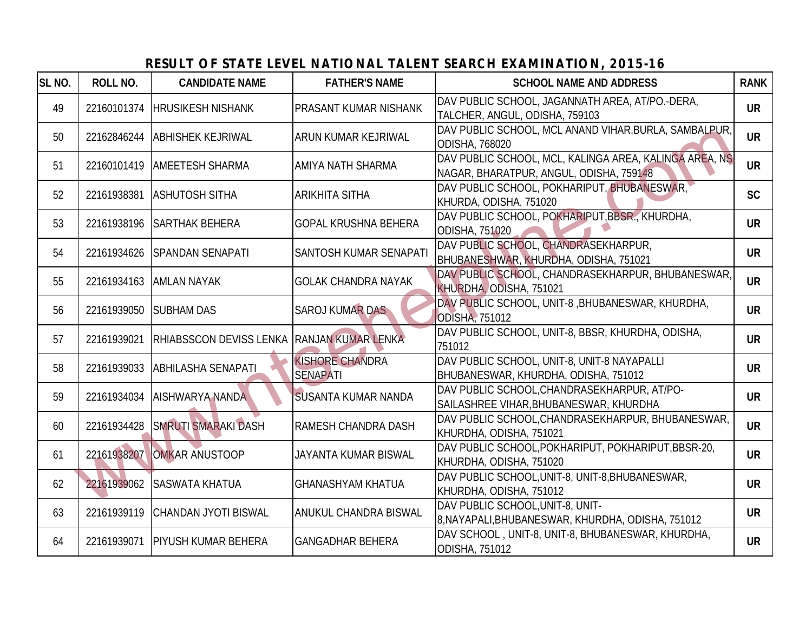#### **SL NO. ROLL NO. CANDIDATE NAME FATHER'S NAME SCHOOL NAME AND ADDRESS RANK** 49 22160101374 HRUSIKESH NISHANK PRASANT KUMAR NISHANK DAV PUBLIC SCHOOL, JAGANNATH AREA, AT/PO.-DERA, TALCHER, ANGUL, ODISHA, 759103 **UR** <sup>50</sup> <sup>22162846244</sup> ABHISHEK KEJRIWAL ARUN KUMAR KEJRIWAL DAV PUBLIC SCHOOL, MCL ANAND VIHAR,BURLA, SAMBALPUR, ODISHA, 768020 51 22160101419 AMEETESH SHARMA AMIYA NATH SHARMA DAV PUBLIC SCHOOL, MCL, KALINGA AREA, KALINGA AREA, NS NAGAR, BHARATPUR, ANGUL, ODISHA, 759148 **UR** 52 22161938381 ASHUTOSH SITHA ARIKHITA SITHA DAV PUBLIC SCHOOL, POKHARIPUT, BHUBANESWAR, KHURDA, ODISHA, 751020 <sup>53</sup> <sup>22161938196</sup> SARTHAK BEHERA GOPAL KRUSHNA BEHERA DAV PUBLIC SCHOOL, POKHARIPUT,BBSR., KHURDHA, ODISHA, 751020 <sup>54</sup> <sup>22161934626</sup> SPANDAN SENAPATI SANTOSH KUMAR SENAPATI DAV PUBLIC SCHOOL, CHANDRASEKHARPUR, BHUBANESHWAR, KHURDHA, ODISHA, 751021 **UR** 55 22161934163 AMLAN NAYAK GOLAK CHANDRA NAYAK DAV PUBLIC SCHOOL, CHANDRASEKHARPUR, BHUBANESWAR, KHURDHA, ODISHA, 751021 56 22161939050 SUBHAM DAS SAROJ KUMAR DAS DAV PUBLIC SCHOOL, UNIT-8, BHUBANESWAR, KHURDHA, ODISHA, 751012 <sup>57</sup> <sup>22161939021</sup> RHIABSSCON DEVISS LENKA RANJAN KUMAR LENKA DAV PUBLIC SCHOOL, UNIT-8, BBSR, KHURDHA, ODISHA, <sup>751012</sup> **UR** <sup>58</sup> <sup>22161939033</sup> ABHILASHA SENAPATI KISHORE CHANDRA SENAPATI DAV PUBLIC SCHOOL, UNIT-8, UNIT-8 NAYAPALLI BHUBANESWAR, KHURDHA, ODISHA, 751012 **UR** 59 22161934034 AISHWARYA NANDA SUSANTA KUMAR NANDA DAV PUBLIC SCHOOL, CHANDRASEKHARPUR, AT/PO-SAILASHREE VIHAR,BHUBANESWAR, KHURDHA **UR** <sup>60</sup> <sup>22161934428</sup> SMRUTI SMARAKI DASH RAMESH CHANDRA DASH DAV PUBLIC SCHOOL,CHANDRASEKHARPUR, BHUBANESWAR, KHURDHA, ODISHA, 751021 <sup>61</sup> <sup>22161938207</sup> OMKAR ANUSTOOP JAYANTA KUMAR BISWAL DAV PUBLIC SCHOOL,POKHARIPUT, POKHARIPUT,BBSR-20, KHURDHA, ODISHA, 751020 **UR** <sup>62</sup> <sup>22161939062</sup> SASWATA KHATUA GHANASHYAM KHATUA DAV PUBLIC SCHOOL,UNIT-8, UNIT-8,BHUBANESWAR, KHURDHA, ODISHA, 751012 <sup>63</sup> <sup>22161939119</sup> CHANDAN JYOTI BISWAL ANUKUL CHANDRA BISWAL DAV PUBLIC SCHOOL,UNIT-8, UNIT-8,NAYAPALI,BHUBANESWAR, KHURDHA, ODISHA, 751012 **UR** <sup>64</sup> <sup>22161939071</sup> PIYUSH KUMAR BEHERA GANGADHAR BEHERA DAV SCHOOL , UNIT-8, UNIT-8, BHUBANESWAR, KHURDHA, ODISHA, 751012 22167934024 ABHISHEK IEJRIWAL ARUN KUMAR KEJRIWAL DODSHA, 758020<br>
22161934024 ABHISHEK IEJRIWAL AND DODSHA, 768020<br>
22161934821 ASHUTOSH STHA ARKHITA SITHA DAVENUEL SCHOOL MCLKAMATER, KAINGA AREA, NSI<br>
22161934824 ASHUTOSH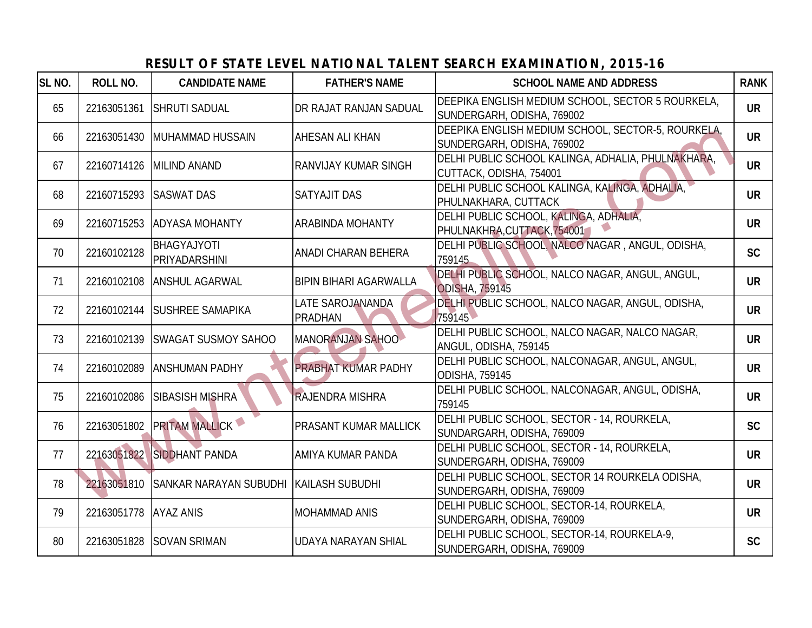#### **SL NO. ROLL NO. CANDIDATE NAME FATHER'S NAME SCHOOL NAME AND ADDRESS RANK** <sup>65</sup> <sup>22163051361</sup> SHRUTI SADUAL DR RAJAT RANJAN SADUAL DEEPIKA ENGLISH MEDIUM SCHOOL, SECTOR 5 ROURKELA, SUNDERGARH, ODISHA, 769002 **UR** 66 22163051430 MUHAMMAD HUSSAIN AHESAN ALI KHAN DEEPIKA ENGLISH MEDIUM SCHOOL, SECTOR-5, ROURKELA, SUNDERGARH, ODISHA, 769002 **UR** 67 22160714126 MILIND ANAND RANVIJAY KUMAR SINGH DELHI PUBLIC SCHOOL KALINGA, ADHALIA, PHULNAKHARA, CUTTACK, ODISHA, 754001 **UR** 68 22160715293 SASWAT DAS SATYAJIT DAS DELHI PUBLIC SCHOOL KALINGA, KALINGA, ADHALIA, PHULNAKHARA, CUTTACK **UR** <sup>69</sup> <sup>22160715253</sup> ADYASA MOHANTY ARABINDA MOHANTY DELHI PUBLIC SCHOOL, KALINGA, ADHALIA, PHULNAKHRA,CUTTACK,754001 **UR** <sup>70</sup> <sup>22160102128</sup> BHAGYAJYOTI PRIYADARSHINI ANADI CHARAN BEHERA DELHI PUBLIC SCHOOL, NALCO NAGAR , ANGUL, ODISHA, <sup>759145</sup> **SC** <sup>71</sup> <sup>22160102108</sup> ANSHUL AGARWAL BIPIN BIHARI AGARWALLA DELHI PUBLIC SCHOOL, NALCO NAGAR, ANGUL, ANGUL, ODISHA, 759145 **UR**<br>ODISHA, 759145 <sup>72</sup> <sup>22160102144</sup> SUSHREE SAMAPIKA LATE SAROJANANDA PRADHAN DELHI PUBLIC SCHOOL, NALCO NAGAR, ANGUL, ODISHA, <sup>759145</sup> **UR** 73 22160102139 SWAGAT SUSMOY SAHOO MANORANJAN SAHOO DELHI PUBLIC SCHOOL, NALCO NAGAR, NALCO NAGAR, ANGUL, ODISHA, 759145 **UR** 74 22160102089 ANSHUMAN PADHY PRABHAT KUMAR PADHY DELHI PUBLIC SCHOOL, NALCONAGAR, ANGUL, ANGUL, DELTIF FOBLIC SCHOOL, NALCONAGAN, ANGOL, ANGOL, **UR**<br>ODISHA, 759145 75 22160102086 SIBASISH MISHRA RAJENDRA MISHRA DELHI PUBLIC SCHOOL, NALCONAGAR, ANGUL, ODISHA, <sup>759145</sup> **UR** <sup>76</sup> <sup>22163051802</sup> PRITAM MALLICK PRASANT KUMAR MALLICK DELHI PUBLIC SCHOOL, SECTOR - 14, ROURKELA, SUNDARGARH, ODISHA, 769009 **SC** 77 22163051822 SIDDHANT PANDA AMIYA KUMAR PANDA DELHI PUBLIC SCHOOL, SECTOR - 14, ROURKELA, SUNDERGARH, ODISHA, 769009 **UR** <sup>78</sup> <sup>22163051810</sup> SANKAR NARAYAN SUBUDHI KAILASH SUBUDHI DELHI PUBLIC SCHOOL, SECTOR 14 ROURKELA ODISHA, SUNDERGARH, ODISHA, 769009 **UR** 79 22163051778 AYAZ ANIS MOHAMMAD ANIS DELHI PUBLIC SCHOOL, SECTOR-14, ROURKELA, SUNDERGARH, ODISHA, 769009 **UR** 80 22163051828 SOVAN SRIMAN UDAYA NARAYAN SHIAL PUBLIC SCHOOL, SECTOR-14, ROURKELA-9, SUNDERGARH, ODISHA, 769009 **SC** 22160107140 MUHAMMAD HUSSAIN AHESAN ALIKHAN DELEMIS CHOORE ADSIMITED AND A CONSISTENCION COMPANY 22160107140 MUNDANAND CHORE SHOW THE PUBLIC SCHOORE AND CHORE AND CHOORE AND CHOORE AND CHOORE AND CHOORE AND CHOORE AND CHOO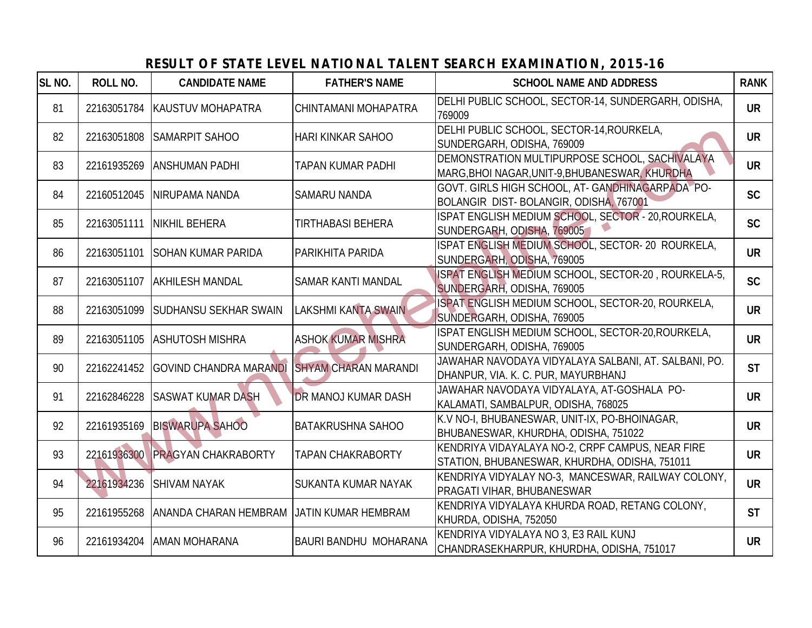## **SL NO. ROLL NO. CANDIDATE NAME FATHER'S NAME SCHOOL NAME AND ADDRESS RANK** 81 22163051784 KAUSTUV MOHAPATRA CHINTAMANI MOHAPATRA 769009<br>769009 82 22163051808 SAMARPIT SAHOO HARI KINKAR SAHOO DELHI PUBLIC SCHOOL, SECTOR-14, ROURKELA, SUNDERGARH, ODISHA, 769009 **UR** 83 22161935269 ANSHUMAN PADHI TAPAN KUMAR PADHI DEMONSTRATION MULTIPURPOSE SCHOOL, SACHIVALAYA MARG,BHOI NAGAR,UNIT-9,BHUBANESWAR, KHURDHA **UR** 84 22160512045 NIRUPAMA NANDA SAMARU NANDA GOVT. GIRLS HIGH SCHOOL, AT- GANDHINAGARPADA PO-BOLANGIR DIST- BOLANGIR, ODISHA, 767001 **SC** 85 22163051111 NIKHIL BEHERA TIRTHABASI BEHERA SERIFERA SECHOOL, SECTOR - 20, ROURKELA, SUNDERGARH, ODISHA, 769005 **SC** 86 22163051101 SOHAN KUMAR PARIDA PARIKHITA PARIDA ISPAT ENGLISH MEDIUM SCHOOL, SECTOR- 20 ROURKELA, SUNDERGARH, ODISHA, 769005 **UR** 87 22163051107 AKHILESH MANDAL SAMAR KANTI MANDAL ISPAT ENGLISH MEDIUM SCHOOL, SECTOR-20, ROURKELA-5, SUNDERGARH, ODISHA, 769005 **SC** 88 22163051099 SUDHANSU SEKHAR SWAIN LAKSHMI KANTA SWAIN ISPAT ENGLISH MEDIUM SCHOOL, SECTOR-20, ROURKELA, SUNDERGARH, ODISHA, 769005 **UR** 89 22163051105 ASHUTOSH MISHRA ASHOK KUMAR MISHRA ISPAT ENGLISH MEDIUM SCHOOL, SECTOR-20,ROURKELA, SUNDERGARH, ODISHA, 769005 **UR** <sup>90</sup> <sup>22162241452</sup> GOVIND CHANDRA MARANDI SHYAM CHARAN MARANDI JAWAHAR NAVODAYA VIDYALAYA SALBANI, AT. SALBANI, PO. DHANPUR, VIA. K. C. PUR, MAYURBHANJ **ST** <sup>91</sup> <sup>22162846228</sup> SASWAT KUMAR DASH DR MANOJ KUMAR DASH JAWAHAR NAVODAYA VIDYALAYA, AT-GOSHALA PO-KALAMATI, SAMBALPUR, ODISHA, 768025 **UR** 92 22161935169 BISWARUPA SAHOO BATAKRUSHNA SAHOO K.V NO-I, BHUBANESWAR, UNIT-IX, PO-BHOINAGAR, BHUBANESWAR, KHURDHA, ODISHA, 751022 **UR** 93 22161936300 PRAGYAN CHAKRABORTY TAPAN CHAKRABORTY KENDRIYA VIDAYALAYA NO-2, CRPF CAMPUS, NEAR FIRE STATION, BHUBANESWAR, KHURDHA, ODISHA, 751011 **UR** 94 22161934236 SHIVAM NAYAK SUKANTA KUMAR NAYAK KENDRIYA VIDYALAY NO-3, MANCESWAR, RAILWAY COLONY, **PRAGATI VIHAR, BHUBANESWAR** (MALWAT COLONT) 95 22161955268 ANANDA CHARAN HEMBRAM JATIN KUMAR HEMBRAM KENDRIYA VIDYALAYA KHURDA ROAD, RETANG COLONY, KENDRITA VIDTACATA RIJORDA ROAD, RETANO COLONT, **ST**<br>KHURDA, ODISHA, 752050 <sup>96</sup> <sup>22161934204</sup> AMAN MOHARANA BAURI BANDHU MOHARANA KENDRIYA VIDYALAYA NO 3, E3 RAIL KUNJ CHANDRASEKHARPUR, KHURDHA, ODISHA, 751017 **UR** 22163051909 SAMARPIT SAHOO HARI KINKAR SAHOO UDILINENDIA SAHOO UNIVERGARH, LODISHA 769009<br>22161935269 AMSHUMAN PADHI TAPAN KUMAR PADHI DEMONSTRATION MULTIPURPOSE SCHOOL SACHIVALANA<br>22160512045 AMSHUMAN PADHI TAPAN KUMAR PA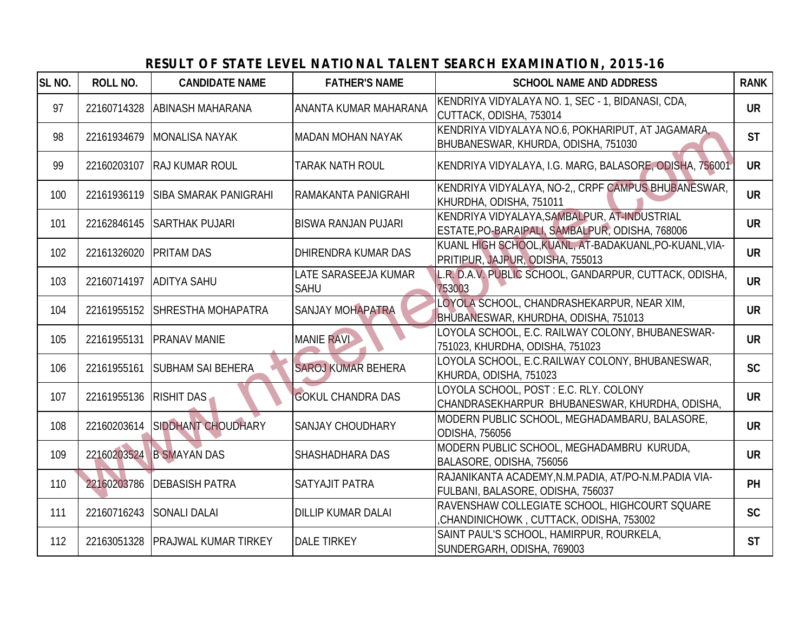| SL <sub>NO.</sub> | <b>ROLL NO.</b> | <b>CANDIDATE NAME</b>        | <b>FATHER'S NAME</b>                | <b>SCHOOL NAME AND ADDRESS</b>                                                                  | <b>RANK</b> |
|-------------------|-----------------|------------------------------|-------------------------------------|-------------------------------------------------------------------------------------------------|-------------|
| 97                | 22160714328     | <b>JABINASH MAHARANA</b>     | IANANTA KUMAR MAHARANA              | KENDRIYA VIDYALAYA NO. 1, SEC - 1, BIDANASI, CDA,<br>CUTTACK, ODISHA, 753014                    | <b>UR</b>   |
| 98                | 22161934679     | <b>MONALISA NAYAK</b>        | IMADAN MOHAN NAYAK                  | KENDRIYA VIDYALAYA NO.6, POKHARIPUT, AT JAGAMARA,<br>BHUBANESWAR, KHURDA, ODISHA, 751030        | <b>ST</b>   |
| 99                | 22160203107     | <b>RAJ KUMAR ROUL</b>        | <b>TARAK NATH ROUL</b>              | KENDRIYA VIDYALAYA, I.G. MARG, BALASORE, ODISHA, 756001                                         | <b>UR</b>   |
| 100               | 22161936119     | <b>SIBA SMARAK PANIGRAHI</b> | RAMAKANTA PANIGRAHI                 | KENDRIYA VIDYALAYA, NO-2,, CRPF CAMPUS BHUBANESWAR,<br>KHURDHA, ODISHA, 751011                  | <b>UR</b>   |
| 101               | 22162846145     | <b>SARTHAK PUJARI</b>        | IBISWA RANJAN PUJARI                | KENDRIYA VIDYALAYA, SAMBALPUR, AT-INDUSTRIAL<br>ESTATE, PO-BARAIPALI, SAMBALPUR, ODISHA, 768006 | <b>UR</b>   |
| 102               | 22161326020     | <b>PRITAM DAS</b>            | IDHIRENDRA KUMAR DAS                | KUANL HIGH SCHOOL, KUANL, AT-BADAKUANL, PO-KUANL, VIA-<br>PRITIPUR, JAJPUR, ODISHA, 755013      | <b>UR</b>   |
| 103               | 22160714197     | <b>ADITYA SAHU</b>           | LATE SARASEEJA KUMAR<br><b>SAHU</b> | L.R. D.A.V. PUBLIC SCHOOL, GANDARPUR, CUTTACK, ODISHA,<br>753003                                | <b>UR</b>   |
| 104               | 22161955152     | <b>SHRESTHA MOHAPATRA</b>    | <b>SANJAY MOHAPATRA</b>             | LOYOLA SCHOOL, CHANDRASHEKARPUR, NEAR XIM,<br>BHUBANESWAR, KHURDHA, ODISHA, 751013              | <b>UR</b>   |
| 105               | 22161955131     | <b>PRANAV MANIE</b>          | <b>MANIE RAVI</b>                   | LOYOLA SCHOOL, E.C. RAILWAY COLONY, BHUBANESWAR-<br>751023, KHURDHA, ODISHA, 751023             | <b>UR</b>   |
| 106               | 22161955161     | <b>SUBHAM SAI BEHERA</b>     | <b>SAROJ KUMAR BEHERA</b>           | LOYOLA SCHOOL, E.C.RAILWAY COLONY, BHUBANESWAR,<br>KHURDA, ODISHA, 751023                       | <b>SC</b>   |
| 107               | 22161955136     | <b>RISHIT DAS</b>            | <b>GOKUL CHANDRA DAS</b>            | LOYOLA SCHOOL, POST: E.C. RLY. COLONY<br>CHANDRASEKHARPUR BHUBANESWAR, KHURDHA, ODISHA,         | <b>UR</b>   |
| 108               | 22160203614     | <b>SIDDHANT CHOUDHARY</b>    | <b>SANJAY CHOUDHARY</b>             | MODERN PUBLIC SCHOOL, MEGHADAMBARU, BALASORE,<br>ODISHA, 756056                                 | <b>UR</b>   |
| 109               |                 | 22160203524 B SMAYAN DAS     | <b>SHASHADHARA DAS</b>              | MODERN PUBLIC SCHOOL, MEGHADAMBRU KURUDA,<br>BALASORE, ODISHA, 756056                           | <b>UR</b>   |
| 110               | 22160203786     | <b>DEBASISH PATRA</b>        | <b>SATYAJIT PATRA</b>               | RAJANIKANTA ACADEMY, N.M.PADIA, AT/PO-N.M.PADIA VIA-<br>FULBANI, BALASORE, ODISHA, 756037       | PH          |
| 111               | 22160716243     | <b>SONALI DALAI</b>          | <b>DILLIP KUMAR DALAI</b>           | RAVENSHAW COLLEGIATE SCHOOL, HIGHCOURT SQUARE<br>CHANDINICHOWK, CUTTACK, ODISHA, 753002,        | <b>SC</b>   |
| 112               | 22163051328     | <b>PRAJWAL KUMAR TIRKEY</b>  | <b>DALE TIRKEY</b>                  | SAINT PAUL'S SCHOOL, HAMIRPUR, ROURKELA,<br>SUNDERGARH, ODISHA, 769003                          | <b>ST</b>   |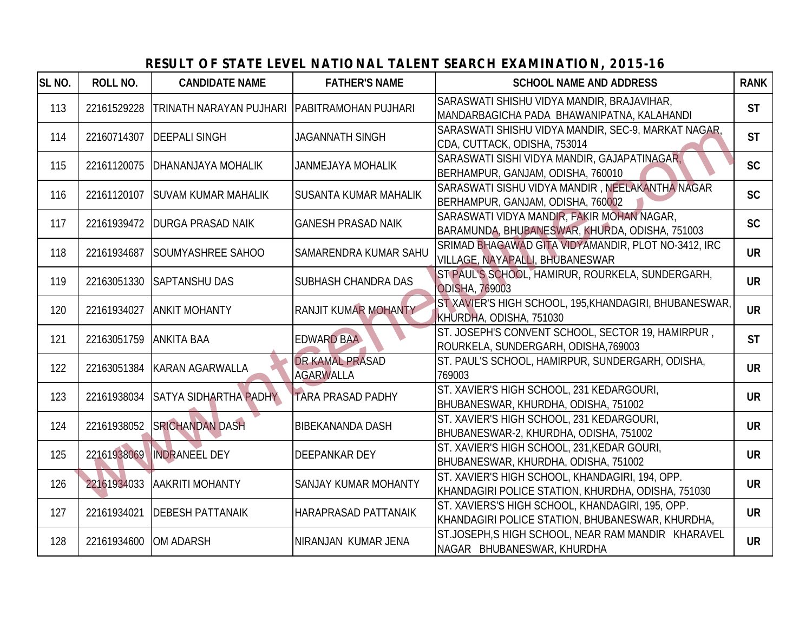| SL <sub>NO.</sub> | <b>ROLL NO.</b> | <b>CANDIDATE NAME</b>                          | <b>FATHER'S NAME</b>                       | <b>SCHOOL NAME AND ADDRESS</b>                                                                        | <b>RANK</b> |
|-------------------|-----------------|------------------------------------------------|--------------------------------------------|-------------------------------------------------------------------------------------------------------|-------------|
| 113               | 22161529228     | TRINATH NARAYAN PUJHARI   PABITRAMOHAN PUJHARI |                                            | SARASWATI SHISHU VIDYA MANDIR, BRAJAVIHAR,<br>MANDARBAGICHA PADA BHAWANIPATNA, KALAHANDI              | <b>ST</b>   |
| 114               | 22160714307     | <b>IDEEPALI SINGH</b>                          | <b>JAGANNATH SINGH</b>                     | SARASWATI SHISHU VIDYA MANDIR, SEC-9, MARKAT NAGAR,<br>CDA, CUTTACK, ODISHA, 753014                   | <b>ST</b>   |
| 115               | 22161120075     | <b>DHANANJAYA MOHALIK</b>                      | <b>JANMEJAYA MOHALIK</b>                   | SARASWATI SISHI VIDYA MANDIR, GAJAPATINAGAR,<br>BERHAMPUR, GANJAM, ODISHA, 760010                     | <b>SC</b>   |
| 116               | 22161120107     | <b>SUVAM KUMAR MAHALIK</b>                     | <b>ISUSANTA KUMAR MAHALIK</b>              | SARASWATI SISHU VIDYA MANDIR, NEELAKANTHA NAGAR<br>BERHAMPUR, GANJAM, ODISHA, 760002                  | <b>SC</b>   |
| 117               |                 | 22161939472   DURGA PRASAD NAIK                | <b>GANESH PRASAD NAIK</b>                  | SARASWATI VIDYA MANDIR, FAKIR MOHAN NAGAR,<br>BARAMUNDA, BHUBANESWAR, KHURDA, ODISHA, 751003          | <b>SC</b>   |
| 118               | 22161934687     | SOUMYASHREE SAHOO                              | <b>SAMARENDRA KUMAR SAHU</b>               | SRIMAD BHAGAWAD GITA VIDYAMANDIR, PLOT NO-3412, IRC<br>VILLAGE, NAYAPALLI, BHUBANESWAR                | <b>UR</b>   |
| 119               | 22163051330     | <b>SAPTANSHU DAS</b>                           | <b>SUBHASH CHANDRA DAS</b>                 | ST PAUL'S SCHOOL, HAMIRUR, ROURKELA, SUNDERGARH,<br><b>ODISHA, 769003</b>                             | <b>UR</b>   |
| 120               | 22161934027     | <b>ANKIT MOHANTY</b>                           | <b>RANJIT KUMAR MOHANTY</b>                | ST XAVIER'S HIGH SCHOOL, 195, KHANDAGIRI, BHUBANESWAR,<br>KHURDHA, ODISHA, 751030                     | <b>UR</b>   |
| 121               | 22163051759     | <b>ANKITA BAA</b>                              | <b>EDWARD BAA</b>                          | ST. JOSEPH'S CONVENT SCHOOL, SECTOR 19, HAMIRPUR,<br>ROURKELA, SUNDERGARH, ODISHA, 769003             | <b>ST</b>   |
| 122               |                 | 22163051384 KARAN AGARWALLA                    | <b>DR KAMAL PRASAD</b><br><b>AGARWALLA</b> | ST. PAUL'S SCHOOL, HAMIRPUR, SUNDERGARH, ODISHA,<br>769003                                            | <b>UR</b>   |
| 123               | 22161938034     | <b>SATYA SIDHARTHA PADHY</b>                   | <b>TARA PRASAD PADHY</b>                   | ST. XAVIER'S HIGH SCHOOL, 231 KEDARGOURI,<br>BHUBANESWAR, KHURDHA, ODISHA, 751002                     | <b>UR</b>   |
| 124               | 22161938052     | <b>SRICHANDAN DASH</b>                         | <b>BIBEKANANDA DASH</b>                    | ST. XAVIER'S HIGH SCHOOL, 231 KEDARGOURI,<br>BHUBANESWAR-2, KHURDHA, ODISHA, 751002                   | <b>UR</b>   |
| 125               | 22161938069     | <b>INDRANEEL DEY</b>                           | <b>DEEPANKAR DEY</b>                       | ST. XAVIER'S HIGH SCHOOL, 231, KEDAR GOURI,<br>BHUBANESWAR, KHURDHA, ODISHA, 751002                   | <b>UR</b>   |
| 126               | 22161934033     | <b>AAKRITI MOHANTY</b>                         | <b>SANJAY KUMAR MOHANTY</b>                | ST. XAVIER'S HIGH SCHOOL, KHANDAGIRI, 194, OPP.<br>KHANDAGIRI POLICE STATION, KHURDHA, ODISHA, 751030 | <b>UR</b>   |
| 127               | 22161934021     | <b>DEBESH PATTANAIK</b>                        | <b>HARAPRASAD PATTANAIK</b>                | ST. XAVIERS'S HIGH SCHOOL, KHANDAGIRI, 195, OPP.<br>KHANDAGIRI POLICE STATION, BHUBANESWAR, KHURDHA,  | <b>UR</b>   |
| 128               | 22161934600     | <b>OM ADARSH</b>                               | NIRANJAN KUMAR JENA                        | ST.JOSEPH, S HIGH SCHOOL, NEAR RAM MANDIR KHARAVEL<br>NAGAR BHUBANESWAR, KHURDHA                      | <b>UR</b>   |